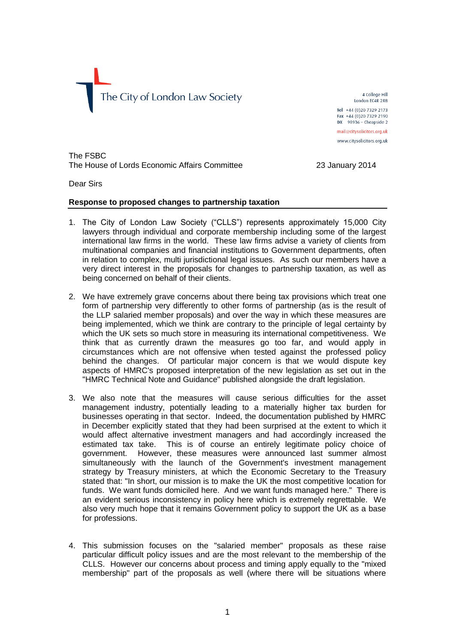

4 College Hill London EC4R 2RB Tel +44 (0)20 7329 2173 Fax +44 (0)20 7329 2190  $DX$  98936 - Cheapside 2 mail@citysolicitors.org.uk www.citysolicitors.org.uk

The FSBC The House of Lords Economic Affairs Committee 23 January 2014

Dear Sirs

#### **Response to proposed changes to partnership taxation**

- 1. The City of London Law Society ("CLLS") represents approximately 15,000 City lawyers through individual and corporate membership including some of the largest international law firms in the world. These law firms advise a variety of clients from multinational companies and financial institutions to Government departments, often in relation to complex, multi jurisdictional legal issues. As such our members have a very direct interest in the proposals for changes to partnership taxation, as well as being concerned on behalf of their clients.
- 2. We have extremely grave concerns about there being tax provisions which treat one form of partnership very differently to other forms of partnership (as is the result of the LLP salaried member proposals) and over the way in which these measures are being implemented, which we think are contrary to the principle of legal certainty by which the UK sets so much store in measuring its international competitiveness. We think that as currently drawn the measures go too far, and would apply in circumstances which are not offensive when tested against the professed policy behind the changes. Of particular major concern is that we would dispute key aspects of HMRC's proposed interpretation of the new legislation as set out in the "HMRC Technical Note and Guidance" published alongside the draft legislation.
- 3. We also note that the measures will cause serious difficulties for the asset management industry, potentially leading to a materially higher tax burden for businesses operating in that sector. Indeed, the documentation published by HMRC in December explicitly stated that they had been surprised at the extent to which it would affect alternative investment managers and had accordingly increased the estimated tax take. This is of course an entirely legitimate policy choice of government. However, these measures were announced last summer almost simultaneously with the launch of the Government's investment management strategy by Treasury ministers, at which the Economic Secretary to the Treasury stated that: "In short, our mission is to make the UK the most competitive location for funds. We want funds domiciled here. And we want funds managed here." There is an evident serious inconsistency in policy here which is extremely regrettable. We also very much hope that it remains Government policy to support the UK as a base for professions.
- 4. This submission focuses on the "salaried member" proposals as these raise particular difficult policy issues and are the most relevant to the membership of the CLLS. However our concerns about process and timing apply equally to the "mixed membership" part of the proposals as well (where there will be situations where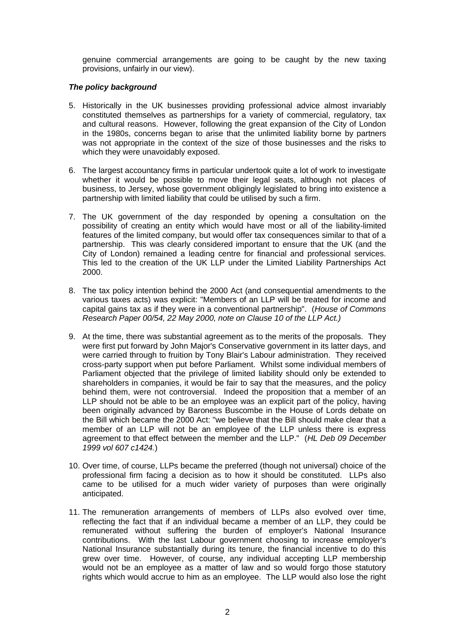genuine commercial arrangements are going to be caught by the new taxing provisions, unfairly in our view).

## *The policy background*

- 5. Historically in the UK businesses providing professional advice almost invariably constituted themselves as partnerships for a variety of commercial, regulatory, tax and cultural reasons. However, following the great expansion of the City of London in the 1980s, concerns began to arise that the unlimited liability borne by partners was not appropriate in the context of the size of those businesses and the risks to which they were unavoidably exposed.
- 6. The largest accountancy firms in particular undertook quite a lot of work to investigate whether it would be possible to move their legal seats, although not places of business, to Jersey, whose government obligingly legislated to bring into existence a partnership with limited liability that could be utilised by such a firm.
- 7. The UK government of the day responded by opening a consultation on the possibility of creating an entity which would have most or all of the liability-limited features of the limited company, but would offer tax consequences similar to that of a partnership. This was clearly considered important to ensure that the UK (and the City of London) remained a leading centre for financial and professional services. This led to the creation of the UK LLP under the Limited Liability Partnerships Act 2000.
- 8. The tax policy intention behind the 2000 Act (and consequential amendments to the various taxes acts) was explicit: "Members of an LLP will be treated for income and capital gains tax as if they were in a conventional partnership". (*House of Commons Research Paper 00/54, 22 May 2000, note on Clause 10 of the LLP Act.)*
- 9. At the time, there was substantial agreement as to the merits of the proposals. They were first put forward by John Major's Conservative government in its latter days, and were carried through to fruition by Tony Blair's Labour administration. They received cross-party support when put before Parliament. Whilst some individual members of Parliament objected that the privilege of limited liability should only be extended to shareholders in companies, it would be fair to say that the measures, and the policy behind them, were not controversial. Indeed the proposition that a member of an LLP should not be able to be an employee was an explicit part of the policy, having been originally advanced by Baroness Buscombe in the House of Lords debate on the Bill which became the 2000 Act: "we believe that the Bill should make clear that a member of an LLP will not be an employee of the LLP unless there is express agreement to that effect between the member and the LLP." (*HL Deb 09 December 1999 vol 607 c1424.*)
- 10. Over time, of course, LLPs became the preferred (though not universal) choice of the professional firm facing a decision as to how it should be constituted. LLPs also came to be utilised for a much wider variety of purposes than were originally anticipated.
- 11. The remuneration arrangements of members of LLPs also evolved over time, reflecting the fact that if an individual became a member of an LLP, they could be remunerated without suffering the burden of employer's National Insurance contributions. With the last Labour government choosing to increase employer's National Insurance substantially during its tenure, the financial incentive to do this grew over time. However, of course, any individual accepting LLP membership would not be an employee as a matter of law and so would forgo those statutory rights which would accrue to him as an employee. The LLP would also lose the right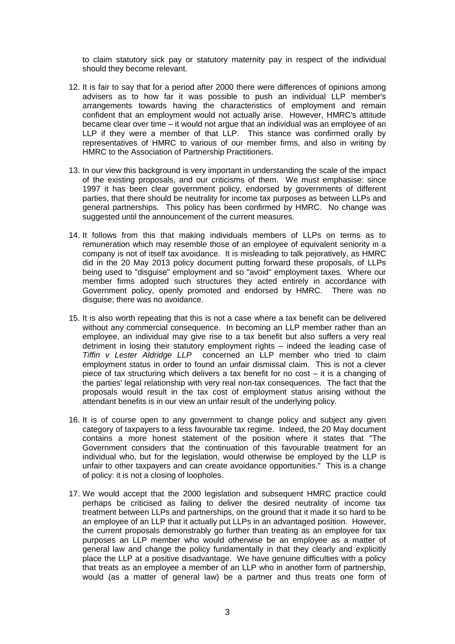to claim statutory sick pay or statutory maternity pay in respect of the individual should they become relevant.

- 12. It is fair to say that for a period after 2000 there were differences of opinions among advisers as to how far it was possible to push an individual LLP member's arrangements towards having the characteristics of employment and remain confident that an employment would not actually arise. However, HMRC's attitude became clear over time – it would not argue that an individual was an employee of an LLP if they were a member of that LLP. This stance was confirmed orally by representatives of HMRC to various of our member firms, and also in writing by HMRC to the Association of Partnership Practitioners.
- 13. In our view this background is very important in understanding the scale of the impact of the existing proposals, and our criticisms of them. We must emphasise: since 1997 it has been clear government policy, endorsed by governments of different parties, that there should be neutrality for income tax purposes as between LLPs and general partnerships. This policy has been confirmed by HMRC. No change was suggested until the announcement of the current measures.
- 14. It follows from this that making individuals members of LLPs on terms as to remuneration which may resemble those of an employee of equivalent seniority in a company is not of itself tax avoidance. It is misleading to talk pejoratively, as HMRC did in the 20 May 2013 policy document putting forward these proposals, of LLPs being used to "disguise" employment and so "avoid" employment taxes. Where our member firms adopted such structures they acted entirely in accordance with Government policy, openly promoted and endorsed by HMRC. There was no disguise; there was no avoidance.
- 15. It is also worth repeating that this is not a case where a tax benefit can be delivered without any commercial consequence. In becoming an LLP member rather than an employee, an individual may give rise to a tax benefit but also suffers a very real detriment in losing their statutory employment rights – indeed the leading case of *Tiffin v Lester Aldridge LLP* concerned an LLP member who tried to claim employment status in order to found an unfair dismissal claim. This is not a clever piece of tax structuring which delivers a tax benefit for no cost – it is a changing of the parties' legal relationship with very real non-tax consequences. The fact that the proposals would result in the tax cost of employment status arising without the attendant benefits is in our view an unfair result of the underlying policy.
- 16. It is of course open to any government to change policy and subject any given category of taxpayers to a less favourable tax regime. Indeed, the 20 May document contains a more honest statement of the position where it states that "The Government considers that the continuation of this favourable treatment for an individual who, but for the legislation, would otherwise be employed by the LLP is unfair to other taxpayers and can create avoidance opportunities." This is a change of policy: it is not a closing of loopholes.
- 17. We would accept that the 2000 legislation and subsequent HMRC practice could perhaps be criticised as failing to deliver the desired neutrality of income tax treatment between LLPs and partnerships, on the ground that it made it so hard to be an employee of an LLP that it actually put LLPs in an advantaged position. However, the current proposals demonstrably go further than treating as an employee for tax purposes an LLP member who would otherwise be an employee as a matter of general law and change the policy fundamentally in that they clearly and explicitly place the LLP at a positive disadvantage. We have genuine difficulties with a policy that treats as an employee a member of an LLP who in another form of partnership, would (as a matter of general law) be a partner and thus treats one form of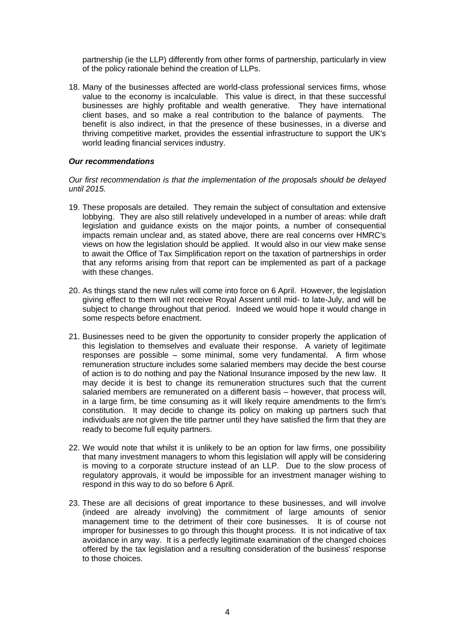partnership (ie the LLP) differently from other forms of partnership, particularly in view of the policy rationale behind the creation of LLPs.

18. Many of the businesses affected are world-class professional services firms, whose value to the economy is incalculable. This value is direct, in that these successful businesses are highly profitable and wealth generative. They have international client bases, and so make a real contribution to the balance of payments. The benefit is also indirect, in that the presence of these businesses, in a diverse and thriving competitive market, provides the essential infrastructure to support the UK's world leading financial services industry.

## *Our recommendations*

#### *Our first recommendation is that the implementation of the proposals should be delayed until 2015.*

- 19. These proposals are detailed. They remain the subject of consultation and extensive lobbying. They are also still relatively undeveloped in a number of areas: while draft legislation and guidance exists on the major points, a number of consequential impacts remain unclear and, as stated above, there are real concerns over HMRC's views on how the legislation should be applied. It would also in our view make sense to await the Office of Tax Simplification report on the taxation of partnerships in order that any reforms arising from that report can be implemented as part of a package with these changes.
- 20. As things stand the new rules will come into force on 6 April. However, the legislation giving effect to them will not receive Royal Assent until mid- to late-July, and will be subject to change throughout that period. Indeed we would hope it would change in some respects before enactment.
- 21. Businesses need to be given the opportunity to consider properly the application of this legislation to themselves and evaluate their response. A variety of legitimate responses are possible – some minimal, some very fundamental. A firm whose remuneration structure includes some salaried members may decide the best course of action is to do nothing and pay the National Insurance imposed by the new law. It may decide it is best to change its remuneration structures such that the current salaried members are remunerated on a different basis – however, that process will, in a large firm, be time consuming as it will likely require amendments to the firm's constitution. It may decide to change its policy on making up partners such that individuals are not given the title partner until they have satisfied the firm that they are ready to become full equity partners.
- 22. We would note that whilst it is unlikely to be an option for law firms, one possibility that many investment managers to whom this legislation will apply will be considering is moving to a corporate structure instead of an LLP. Due to the slow process of regulatory approvals, it would be impossible for an investment manager wishing to respond in this way to do so before 6 April.
- 23. These are all decisions of great importance to these businesses, and will involve (indeed are already involving) the commitment of large amounts of senior management time to the detriment of their core businesses. It is of course not improper for businesses to go through this thought process. It is not indicative of tax avoidance in any way. It is a perfectly legitimate examination of the changed choices offered by the tax legislation and a resulting consideration of the business' response to those choices.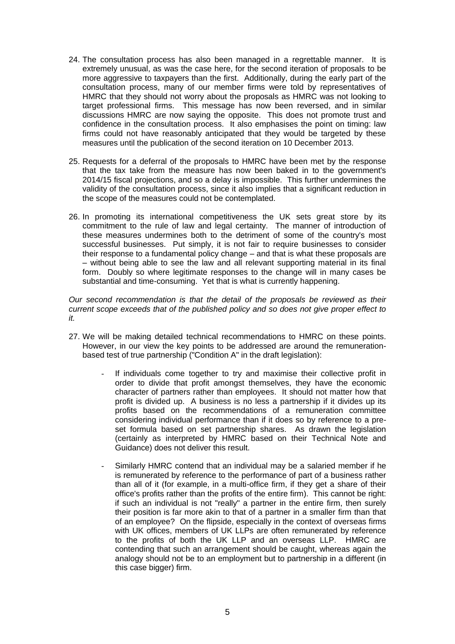- 24. The consultation process has also been managed in a regrettable manner. It is extremely unusual, as was the case here, for the second iteration of proposals to be more aggressive to taxpayers than the first. Additionally, during the early part of the consultation process, many of our member firms were told by representatives of HMRC that they should not worry about the proposals as HMRC was not looking to target professional firms. This message has now been reversed, and in similar discussions HMRC are now saying the opposite. This does not promote trust and confidence in the consultation process. It also emphasises the point on timing: law firms could not have reasonably anticipated that they would be targeted by these measures until the publication of the second iteration on 10 December 2013.
- 25. Requests for a deferral of the proposals to HMRC have been met by the response that the tax take from the measure has now been baked in to the government's 2014/15 fiscal projections, and so a delay is impossible. This further undermines the validity of the consultation process, since it also implies that a significant reduction in the scope of the measures could not be contemplated.
- 26. In promoting its international competitiveness the UK sets great store by its commitment to the rule of law and legal certainty. The manner of introduction of these measures undermines both to the detriment of some of the country's most successful businesses. Put simply, it is not fair to require businesses to consider their response to a fundamental policy change – and that is what these proposals are – without being able to see the law and all relevant supporting material in its final form. Doubly so where legitimate responses to the change will in many cases be substantial and time-consuming. Yet that is what is currently happening.

*Our second recommendation is that the detail of the proposals be reviewed as their current scope exceeds that of the published policy and so does not give proper effect to it.*

- 27. We will be making detailed technical recommendations to HMRC on these points. However, in our view the key points to be addressed are around the remunerationbased test of true partnership ("Condition A" in the draft legislation):
	- If individuals come together to try and maximise their collective profit in order to divide that profit amongst themselves, they have the economic character of partners rather than employees. It should not matter how that profit is divided up. A business is no less a partnership if it divides up its profits based on the recommendations of a remuneration committee considering individual performance than if it does so by reference to a preset formula based on set partnership shares. As drawn the legislation (certainly as interpreted by HMRC based on their Technical Note and Guidance) does not deliver this result.
	- Similarly HMRC contend that an individual may be a salaried member if he is remunerated by reference to the performance of part of a business rather than all of it (for example, in a multi-office firm, if they get a share of their office's profits rather than the profits of the entire firm). This cannot be right: if such an individual is not "really" a partner in the entire firm, then surely their position is far more akin to that of a partner in a smaller firm than that of an employee? On the flipside, especially in the context of overseas firms with UK offices, members of UK LLPs are often remunerated by reference to the profits of both the UK LLP and an overseas LLP. HMRC are contending that such an arrangement should be caught, whereas again the analogy should not be to an employment but to partnership in a different (in this case bigger) firm.